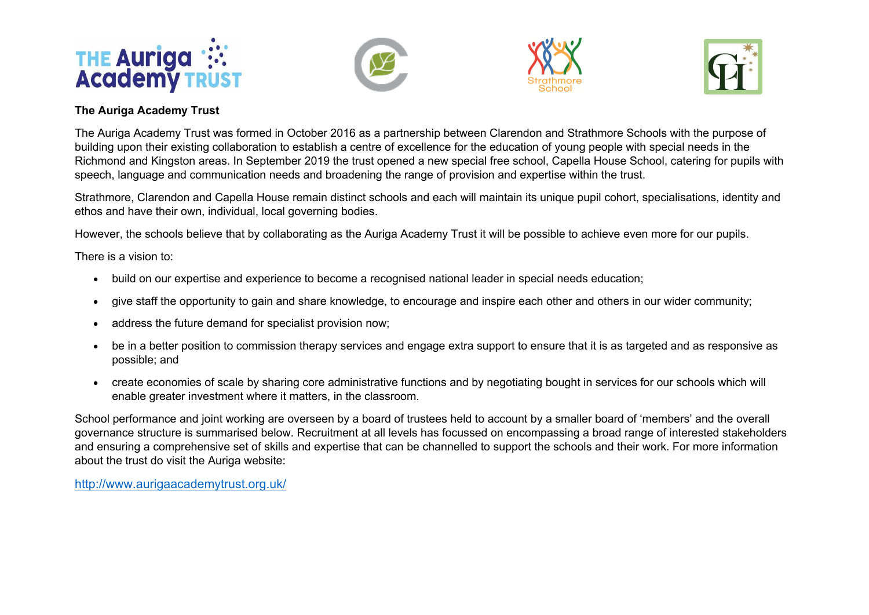







## **The Auriga Academy Trust**

The Auriga Academy Trust was formed in October 2016 as a partnership between Clarendon and Strathmore Schools with the purpose of building upon their existing collaboration to establish a centre of excellence for the education of young people with special needs in the Richmond and Kingston areas. In September 2019 the trust opened a new special free school, Capella House School, catering for pupils with speech, language and communication needs and broadening the range of provision and expertise within the trust.

Strathmore, Clarendon and Capella House remain distinct schools and each will maintain its unique pupil cohort, specialisations, identity and ethos and have their own, individual, local governing bodies.

However, the schools believe that by collaborating as the Auriga Academy Trust it will be possible to achieve even more for our pupils.

There is a vision to:

- build on our expertise and experience to become a recognised national leader in special needs education;
- give staff the opportunity to gain and share knowledge, to encourage and inspire each other and others in our wider community;
- address the future demand for specialist provision now;
- be in a better position to commission therapy services and engage extra support to ensure that it is as targeted and as responsive as possible; and
- create economies of scale by sharing core administrative functions and by negotiating bought in services for our schools which will enable greater investment where it matters, in the classroom.

School performance and joint working are overseen by a board of trustees held to account by a smaller board of 'members' and the overall governance structure is summarised below. Recruitment at all levels has focussed on encompassing a broad range of interested stakeholders and ensuring a comprehensive set of skills and expertise that can be channelled to support the schools and their work. For more information about the trust do visit the Auriga website:

http://www.aurigaacademytrust.org.uk/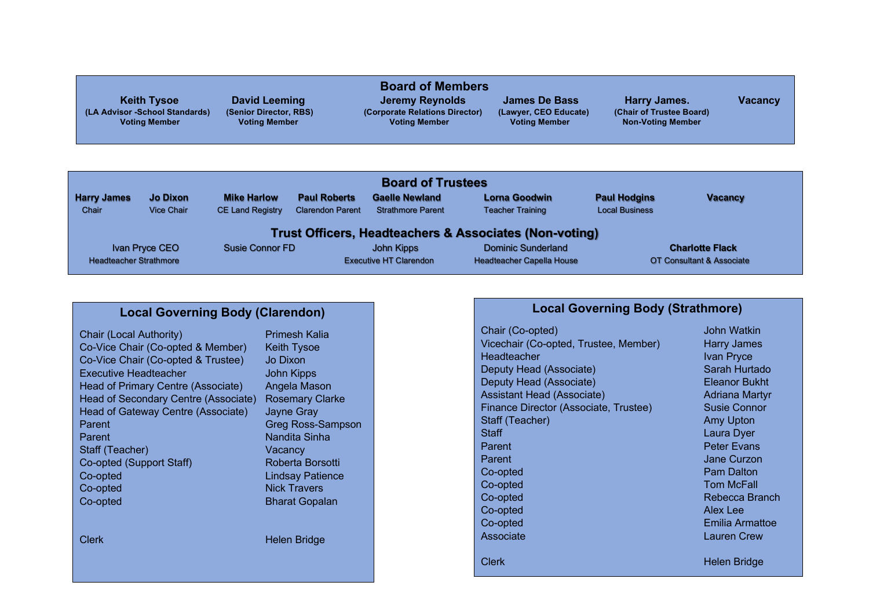|                                |                        | <b>Board of Members</b>        |                       |                          |                |
|--------------------------------|------------------------|--------------------------------|-----------------------|--------------------------|----------------|
| <b>Keith Tysoe</b>             | <b>David Leeming</b>   | Jeremy Reynolds                | <b>James De Bass</b>  | Harry James.             | <b>Vacancy</b> |
| (LA Advisor -School Standards) | (Senior Director, RBS) | (Corporate Relations Director) | (Lawyer, CEO Educate) | (Chair of Trustee Board) |                |
| <b>Voting Member</b>           | <b>Voting Member</b>   | <b>Voting Member</b>           | <b>Voting Member</b>  | <b>Non-Voting Member</b> |                |
|                                |                        |                                |                       |                          |                |
|                                |                        |                                |                       |                          |                |

| <b>Board of Trustees</b>                                          |                               |                         |                         |                               |                                  |                       |                           |
|-------------------------------------------------------------------|-------------------------------|-------------------------|-------------------------|-------------------------------|----------------------------------|-----------------------|---------------------------|
| <b>Harry James</b>                                                | <b>Jo Dixon</b>               | <b>Mike Harlow</b>      | <b>Paul Roberts</b>     | <b>Gaelle Newland</b>         | <b>Lorna Goodwin</b>             | <b>Paul Hodgins</b>   | <b>Vacancy</b>            |
| Chair                                                             | <b>Vice Chair</b>             | <b>CE Land Registry</b> | <b>Clarendon Parent</b> | <b>Strathmore Parent</b>      | <b>Teacher Training</b>          | <b>Local Business</b> |                           |
| <b>Trust Officers, Headteachers &amp; Associates (Non-voting)</b> |                               |                         |                         |                               |                                  |                       |                           |
|                                                                   | Ivan Pryce CEO                | Susie Connor FD         |                         | John Kipps                    | <b>Dominic Sunderland</b>        |                       | <b>Charlotte Flack</b>    |
|                                                                   | <b>Headteacher Strathmore</b> |                         |                         | <b>Executive HT Clarendon</b> | <b>Headteacher Capella House</b> |                       | OT Consultant & Associate |

## **Local Governing Body (Clarendon)**

| Chair (Local Authority)              | Primesh Kalia         |
|--------------------------------------|-----------------------|
| Co-Vice Chair (Co-opted & Member)    | <b>Keith Tysoe</b>    |
| Co-Vice Chair (Co-opted & Trustee)   | Jo Dixon              |
| <b>Executive Headteacher</b>         | <b>John Kipps</b>     |
| Head of Primary Centre (Associate)   | Angela Mason          |
| Head of Secondary Centre (Associate) | <b>Rosemary Cla</b>   |
| Head of Gateway Centre (Associate)   | <b>Jayne Gray</b>     |
| Parent                               | Greg Ross-Sa          |
| Parent                               | Nandita Sinha         |
| Staff (Teacher)                      | Vacancv               |
| Co-opted (Support Staff)             | Roberta Borso         |
| Co-opted                             | <b>Lindsay Patier</b> |
| Co-opted                             | <b>Nick Travers</b>   |
| Co-opted                             | <b>Bharat Gopala</b>  |
|                                      |                       |
|                                      |                       |

 $\widetilde{\mathsf{M}}$ ason hary Clarke Ross-Sampson a Sinha a Borsotti Batience Gopalan

Clerk Helen Bridge

## **Local Governing Body (Strathmore)**

Chair (Co-opted) **Chair (Co-opted) John Watkin** Vicechair (Co-opted, Trustee, Member) Harry James Headteacher Ivan Pryce<br>
Deputy Head (Associate) Sarah Hurtado Deputy Head (Associate) Sarah Hurtado<br>Deputy Head (Associate) Sarah Hurtado Deputy Head (Associate) Assistant Head (Associate) **Adriana Martyr** Adriana Martyr Finance Director (Associate, Trustee) Susie Connor<br>Staff (Teacher) Amy Upton Staff (Teacher)<br>Staff Parent **Parent Peter Evans Parent Curzon** Jane Curzon Co-opted **Pam Dalton** Co-opted Tom McFall Co-opted **Rebecca Branch** Co-opted Alex Lee Co-opted Emilia Armattoe Associate Lauren Crew Clerk Helen Bridge

Laura Dyer